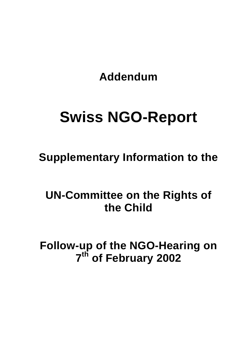**Addendum** 

# **Swiss NGO-Report**

**Supplementary Information to the** 

**UN-Committee on the Rights of the Child** 

**Follow-up of the NGO-Hearing on 7th of February 2002**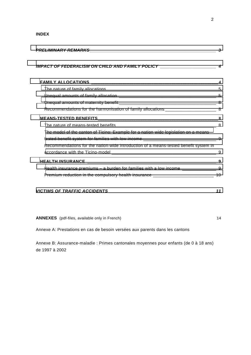**INDEX** 

| IMPACT OF FEDERALISM ON CHILD AND FAMILY POLICY _______________________________4            |   |
|---------------------------------------------------------------------------------------------|---|
|                                                                                             |   |
|                                                                                             |   |
|                                                                                             |   |
|                                                                                             |   |
|                                                                                             |   |
|                                                                                             |   |
|                                                                                             | 8 |
| The model of the canton of Ticino: Example for a nation-wide legislation on a means-        |   |
|                                                                                             |   |
| Recommendations for the nation-wide introduction of a means-tested benefit system in        |   |
|                                                                                             |   |
|                                                                                             | 9 |
| Health insurance premiums - a burden for families with a low income ______________________9 |   |
|                                                                                             |   |

ANNEXES (pdf-files, available only in French) 14

Annexe A: Prestations en cas de besoin versées aux parents dans les cantons

Annexe B: Assurance-maladie : Primes cantonales moyennes pour enfants (de 0 à 18 ans) de 1997 à 2002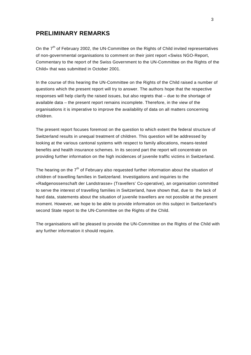# <span id="page-2-0"></span>**PRELIMINARY REMARKS**

On the  $7<sup>th</sup>$  of February 2002, the UN-Committee on the Rights of Child invited representatives of non-governmental organisations to comment on their joint report «Swiss NGO-Report, Commentary to the report of the Swiss Government to the UN-Committee on the Rights of the Child» that was submitted in October 2001.

In the course of this hearing the UN-Committee on the Rights of the Child raised a number of questions which the present report will try to answer. The authors hope that the respective responses will help clarify the raised issues, but also regrets that – due to the shortage of available data – the present report remains incomplete. Therefore, in the view of the organisations it is imperative to improve the availability of data on all matters concerning children.

The present report focuses foremost on the question to which extent the federal structure of Switzerland results in unequal treatment of children. This question will be addressed by looking at the various cantonal systems with respect to family allocations, means-tested benefits and health insurance schemes. In its second part the report will concentrate on providing further information on the high incidences of juvenile traffic victims in Switzerland.

The hearing on the  $7<sup>th</sup>$  of February also requested further information about the situation of children of travelling families in Switzerland. Investigations and inquiries to the «Radgenossenschaft der Landstrasse» (Travellers' Co-operative), an organisation committed to serve the interest of travelling families in Switzerland, have shown that, due to the lack of hard data, statements about the situation of juvenile travellers are not possible at the present moment. However, we hope to be able to provide information on this subject in Switzerland's second State report to the UN-Committee on the Rights of the Child.

The organisations will be pleased to provide the UN-Committee on the Rights of the Child with any further information it should require.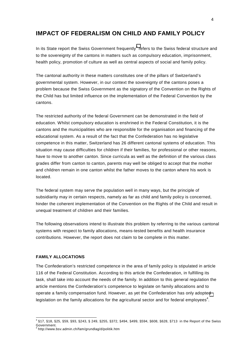# <span id="page-3-0"></span>**IMPACT OF FEDERALISM ON CHILD AND FAMILY POLICY**

In its State report the Swiss Government frequently<sup>3</sup> refers to the Swiss federal structure and to the sovereignty of the cantons in matters such as compulsory education, imprisonment, health policy, promotion of culture as well as central aspects of social and family policy.

The cantonal authority in these matters constitutes one of the pillars of Switzerland's governmental system. However, in our context the sovereignty of the cantons poses a problem because the Swiss Government as the signatory of the Convention on the Rights of the Child has but limited influence on the implementation of the Federal Convention by the cantons.

The restricted authority of the federal Government can be demonstrated in the field of education. Whilst compulsory education is enshrined in the Federal Constitution, it is the cantons and the municipalities who are responsible for the organisation and financing of the educational system. As a result of the fact that the Confederation has no legislative competence in this matter, Switzerland has 26 different cantonal systems of education. This situation may cause difficulties for children if their families, for professional or other reasons, have to move to another canton. Since curricula as well as the definition of the various class grades differ from canton to canton, parents may well be obliged to accept that the mother and children remain in one canton whilst the father moves to the canton where his work is located.

The federal system may serve the population well in many ways, but the principle of subsidiarity may in certain respects, namely as far as child and family policy is concerned, hinder the coherent implementation of the Convention on the Rights of the Child and result in unequal treatment of children and their families.

The following observations intend to illustrate this problem by referring to the various cantonal systems with respect to family allocations, means-tested benefits and health insurance contributions. However, the report does not claim to be complete in this matter.

## **FAMILY ALLOCATIONS**

The Confederation's restricted competence in the area of family policy is stipulated in article 116 of the Federal Constitution. According to this article the Confederation, in fulfilling its task, shall take into account the needs of the family. In addition to this general regulation the article mentions the Confederation's competence to legislate on family allocations and to operate a family compensation fund. However, as yet the Confederation has only adopted legislation on the family allocations for the agricultural sector and for federal employees<sup>4</sup>.

 3 §17, §18, §25, §59, §93, §243, § 249, §255, §372, §494, §499, §594, §608, §628, §713 in the Report of the Swiss Government.

<sup>4</sup> http://www.bsv.admin.ch/fam/grundlag/d/politik.htm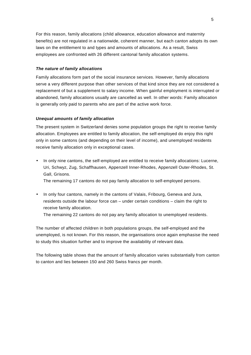<span id="page-4-0"></span>For this reason, family allocations (child allowance, education allowance and maternity benefits) are not regulated in a nationwide, coherent manner, but each canton adopts its own laws on the entitlement to and types and amounts of allocations. As a result, Swiss employees are confronted with 26 different cantonal family allocation systems.

# *The nature of family allocations*

Family allocations form part of the social insurance services. However, family allocations serve a very different purpose than other services of that kind since they are not considered a replacement of but a supplement to salary income. When gainful employment is interrupted or abandoned, family allocations usually are cancelled as well. In other words: Family allocation is generally only paid to parents who are part of the active work force.

## *Unequal amounts of family allocation*

The present system in Switzerland denies some population groups the right to receive family allocation. Employees are entitled to family allocation, the self-employed do enjoy this right only in some cantons (and depending on their level of income), and unemployed residents receive family allocation only in exceptional cases.

• In only nine cantons, the self-employed are entitled to receive family allocations: Lucerne, Uri, Schwyz, Zug, Schaffhausen, Appenzell Inner-Rhodes, Appenzell Outer-Rhodes, St. Gall, Grisons.

The remaining 17 cantons do not pay family allocation to self-employed persons.

• In only four cantons, namely in the cantons of Valais, Fribourg, Geneva and Jura, residents outside the labour force can – under certain conditions – claim the right to receive family allocation.

The remaining 22 cantons do not pay any family allocation to unemployed residents.

The number of affected children in both populations groups, the self-employed and the unemployed, is not known. For this reason, the organisations once again emphasise the need to study this situation further and to improve the availability of relevant data.

The following table shows that the amount of family allocation varies substantially from canton to canton and lies between 150 and 260 Swiss francs per month.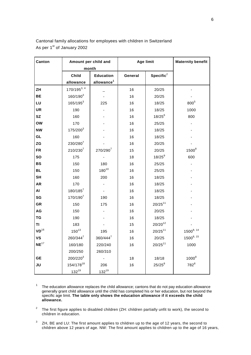| Canton           | Amount per child and |                        | <b>Age limit</b> |              | <b>Maternity benefit</b> |
|------------------|----------------------|------------------------|------------------|--------------|--------------------------|
|                  | month                |                        |                  |              |                          |
|                  | Child                | <b>Education</b>       | General          | Specific $2$ |                          |
|                  | allowance            | allowance <sup>1</sup> |                  |              |                          |
| ZH               | $170/195^{3,4}$      |                        | 16               | 20/25        |                          |
| <b>BE</b>        | $160/190^{3}$        |                        | 16               | 20/25        |                          |
| LU               | $165/195^3$          | 225                    | 16               | 18/25        | 800 <sup>5</sup>         |
| <b>UR</b>        | 190                  |                        | 16               | 18/25        | 1000                     |
| <b>SZ</b>        | 160                  |                        | 16               | $18/25^{6}$  | 800                      |
| <b>OW</b>        | 170                  |                        | 16               | 25/25        |                          |
| <b>NW</b>        | $175/200^3$          |                        | 16               | 18/25        |                          |
| GL               | 160                  |                        | 16               | 18/25        |                          |
| ZG               | $230/280^{7}$        |                        | 16               | 20/25        |                          |
| <b>FR</b>        | $210/230^{7}$        | 270/2907               | 15               | 20/25        | 1500 <sup>8</sup>        |
| <b>SO</b>        | 175                  |                        | 18               | $18/25^{9}$  | 600                      |
| <b>BS</b>        | 150                  | 180                    | 16               | 25/25        |                          |
| <b>BL</b>        | 150                  | $180^{10}$             | 16               | 25/25        |                          |
| <b>SH</b>        | 160                  | 200                    | 16               | 18/25        |                          |
| <b>AR</b>        | 170                  |                        | 16               | 18/25        |                          |
| AI               | $180/185^7$          |                        | 16               | 18/25        |                          |
| SG               | 170/1907             | 190                    | 16               | 18/25        |                          |
| GR               | 150                  | 175                    | 16               | $20/25^{11}$ |                          |
| AG               | 150                  |                        | 16               | 20/25        |                          |
| TG               | 190                  |                        | 16               | 18/25        |                          |
| ΤI               | 183                  |                        | 15               | $20/20^{12}$ |                          |
| $VD^{16}$        | $150^{13}$           | 195                    | 16               | $20/25^{11}$ | $1500^{8, 14}$           |
| VS               | $260/344^{7}$        | 360/4447               | 16               | 20/25        | $1500^{8, 15}$           |
| NE <sup>17</sup> | 160/180              | 220/240                | 16               | $20/25^{11}$ | 1000                     |
|                  | 200/250              | 260/310                |                  |              |                          |
| <b>GE</b>        | $200/220^{3}$        |                        | 18               | 18/18        | $1000^8$                 |
| JU               | 154/17818            | 206                    | 16               | $25/25^{8}$  | $782^8$                  |
|                  | $132^{19}$           | $132^{19}$             |                  |              |                          |

Cantonal family allocations for employees with children in Switzerland As per 1st of January 2002

 $1$  The education allowance replaces the child allowance; cantons that do not pay education allowance generally grant child allowance until the child has completed his or her education, but not beyond the specific age limit. **The table only shows the education allowance if it exceeds the child allowance.**

2 The first figure applies to disabled children (ZH: children partially unfit to work), the second to children in education.

 $3$  ZH, BE and LU: The first amount applies to children up to the age of 12 years, the second to children above 12 years of age. NW: The first amount applies to children up to the age of 16 years,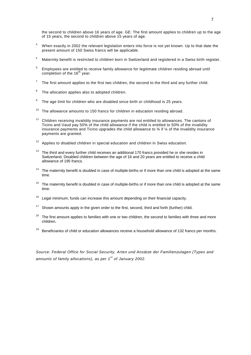the second to children above 16 years of age. GE: The first amount applies to children up to the age of 15 years, the second to children above 15 years of age.

- 4 When exactly in 2002 the relevant legislation enters into force is not yet known. Up to that date the present amount of 150 Swiss francs will be applicable.
- 5 Maternity benefit is restricted to children born in Switzerland and registered in a Swiss birth register.
- 6 Employees are entitled to receive family allowance for legitimate children residing abroad until completion of the  $16<sup>th</sup>$  year.
- 7 The first amount applies to the first two children, the second to the third and any further child.
- 8 The allocation applies also to adopted children.
- 9 The age limit for children who are disabled since birth or childhood is 25 years.
- $10$  The allowance amounts to 150 francs for children in education residing abroad.
- 11 Children receiving invalidity insurance payments are not entitled to allowances. The cantons of Ticino and Vaud pay 50% of the child allowance if the child is entitled to 50% of the invalidity insurance payments and Ticino upgrades the child allowance to  $\frac{3}{4}$  if  $\frac{1}{4}$  of the invalidity insurance payments are granted.
- $12$  Applies to disabled children in special education and children in Swiss education.
- $13$  The third and every further child receives an additional 170 francs provided he or she resides in Switzerland. Disabled children between the age of 16 and 20 years are entitled to receive a child allowance of 195 francs.
- <sup>14</sup> The maternity benefit is doubled in case of multiple-births or if more than one child is adopted at the same time.
- $15$  The maternity benefit is doubled in case of multiple-births or if more than one child is adopted at the same time.
- $16$  Legal minimum; funds can increase this amount depending on their financial capacity.
- $17$  Shown amounts apply in the given order to the first, second, third and forth (further) child.
- $18$  The first amount applies to families with one or two children, the second to families with three and more children.
- Beneficiaries of child or education allowances receive a household allowance of 132 francs per months.

*Source: Federal Office for Social Security, Arten und Ansätze der Familienzulagen (Types and amounts of family allocations), as per 1st of January 2002.*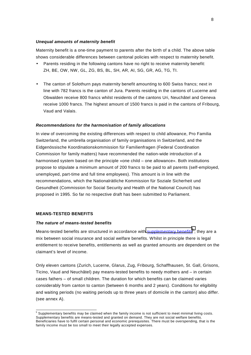#### <span id="page-7-0"></span>*Unequal amounts of maternity benefit*

Maternity benefit is a one-time payment to parents after the birth of a child. The above table shows considerable differences between cantonal policies with respect to maternity benefit.

- Parents residing in the following cantons have no right to receive maternity benefit: ZH, BE, OW, NW, GL, ZG, BS, BL, SH, AR, AI, SG, GR, AG, TG, TI.
- The canton of Solothurn pays maternity benefit amounting to 600 Swiss francs; next in line with 782 francs is the canton of Jura. Parents residing in the cantons of Lucerne and Obwalden receive 800 francs whilst residents of the cantons Uri, Neuchâtel and Geneva receive 1000 francs. The highest amount of 1500 francs is paid in the cantons of Fribourg, Vaud and Valais.

#### *Recommendations for the harmonisation of family allocations*

In view of overcoming the existing differences with respect to child allowance, Pro Familia Switzerland, the umbrella organisation of family organisations in Switzerland, and the Eidgenössische Koordinationskommission für Familienfragen (Federal Coordination Commission for family matters) have recommended the nation-wide introduction of a harmonised system based on the principle «one child – one allowance». Both institutions propose to stipulate a minimum amount of 200 francs to be paid to all parents (self-employed, unemployed, part-time and full time employees). This amount is in line with the recommendations, which the Nationalrätliche Kommission für Soziale Sicherheit und Gesundheit (Commission for Social Security and Health of the National Council) has proposed in 1995. So far no respective draft has been submitted to Parliament.

#### **MEANS-TESTED BENEFITS**

#### *The nature of means-tested benefits*

Means-tested benefits are structured in accordance with **supplementary benefits<sup>5</sup>; they are a** mix between social insurance and social welfare benefits. Whilst in principle there is legal entitlement to receive benefits, entitlements as well as granted amounts are dependent on the claimant's level of income.

Only eleven cantons (Zurich, Lucerne, Glarus, Zug, Fribourg, Schaffhausen, St. Gall, Grisons, Ticino, Vaud and Neuchâtel) pay means-tested benefits to needy mothers and – in certain cases fathers – of small children. The duration for which benefits can be claimed varies considerably from canton to canton (between 6 months and 2 years). Conditions for eligibility and waiting periods (no waiting periods up to three years of domicile in the canton) also differ. (see annex A).

 5 Supplementary benefits may be claimed when the family income is not sufficient to meet minimal living costs. Supplementary benefits are means-tested and granted on demand. They are not social welfare benefits. Beneficiaries have to fulfil certain personal and economic prerequisites. There must be overspending, that is the family income must be too small to meet their legally accepted expenses.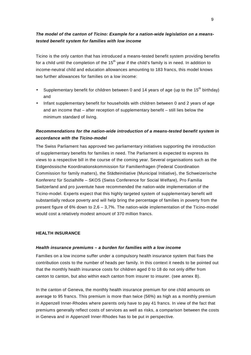# <span id="page-8-0"></span>*The model of the canton of Ticino: Example for a nation-wide legislation on a meanstested benefit system for families with low income*

Ticino is the only canton that has introduced a means-tested benefit system providing benefits for a child until the completion of the  $15<sup>th</sup>$  year if the child's family is in need. In addition to income-neutral child and education allowances amounting to 183 francs, this model knows two further allowances for families on a low income:

- Supplementary benefit for children between 0 and 14 years of age (up to the 15<sup>th</sup> birthday) and
- Infant supplementary benefit for households with children between 0 and 2 years of age and an income that – after reception of supplementary benefit – still lies below the minimum standard of living.

# *Recommendations for the nation-wide introduction of a means-tested benefit system in accordance with the Ticino-model*

The Swiss Parliament has approved two parliamentary initiatives supporting the introduction of supplementary benefits for families in need. The Parliament is expected to express its views to a respective bill in the course of the coming year. Several organisations such as the Eidgenössische Koordinationskommission für Familienfragen (Federal Coordination Commission for family matters), the Städteinitiative (Municipal Initiative), the Schweizerische Konferenz für Sozialhilfe – SKOS (Swiss Conference for Social Welfare), Pro Familia Switzerland and pro juventute have recommended the nation-wide implementation of the Ticino-model. Experts expect that this highly targeted system of supplementary benefit will substantially reduce poverty and will help bring the percentage of families in poverty from the present figure of 6% down to 2,6 – 3,7%. The nation-wide implementation of the Ticino-model would cost a relatively modest amount of 370 million francs.

## **HEALTH INSURANCE**

#### *Health insurance premiums – a burden for families with a low income*

Families on a low income suffer under a compulsory health insurance system that fixes the contribution costs to the number of heads per family. In this context it needs to be pointed out that the monthly health insurance costs for children aged 0 to 18 do not only differ from canton to canton, but also within each canton from insurer to insurer. (see annex B).

In the canton of Geneva, the monthly health insurance premium for one child amounts on average to 95 francs. This premium is more than twice (56%) as high as a monthly premium in Appenzell Inner-Rhodes where parents only have to pay 41 francs. In view of the fact that premiums generally reflect costs of services as well as risks, a comparison between the costs in Geneva and in Appenzell Inner-Rhodes has to be put in perspective.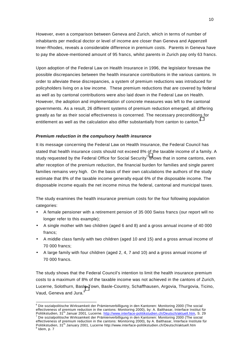<span id="page-9-0"></span>However, even a comparison between Geneva and Zurich, which in terms of number of inhabitants per medical doctor or level of income are closer than Geneva and Appenzell Inner-Rhodes, reveals a considerable difference in premium costs. Parents in Geneva have to pay the above-mentioned amount of 95 francs, whilst parents in Zurich pay only 63 francs.

Upon adoption of the Federal Law on Health Insurance in 1996, the legislator foresaw the possible discrepancies between the health insurance contributions in the various cantons. In order to alleviate these discrepancies, a system of premium reductions was introduced for policyholders living on a low income. These premium reductions that are covered by federal as well as by cantonal contributions were also laid down in the Federal Law on Health. However, the adoption and implementation of concrete measures was left to the cantonal governments. As a result, 26 different systems of premium reduction emerged, all differing greatly as far as their social effectiveness is concerned. The necessary preconditions for entitlement as well as the calculation also differ substantially from canton to canton. $^6$ 

## *Premium reduction in the compulsory health insurance*

It its message concerning the Federal Law on Health Insurance, the Federal Council has stated that health insurance costs should not exceed 8% of the taxable income of a family. A study requested by the Federal Office for Social Security<sup>7</sup> shows that in some cantons, even after reception of the premium reduction, the financial burden for families and single parent families remains very high. On the basis of their own calculations the authors of the study estimate that 8% of the taxable income generally equal 6% of the disposable income. The disposable income equals the net income minus the federal, cantonal and municipal taxes.

The study examines the health insurance premium costs for the four following population categories:

- A female pensioner with a retirement pension of 35 000 Swiss francs (our report will no longer refer to this example);
- A single mother with two children (aged 6 and 8) and a gross annual income of 40 000 francs;
- A middle class family with two children (aged 10 and 15) and a gross annual income of 70 000 francs;
- A large family with four children (aged 2, 4, 7 and 10) and a gross annual income of 70 000 francs.

The study shows that the Federal Council's intention to limit the health insurance premium costs to a maximum of 8% of the taxable income was not achieved in the cantons of Zurich, Lucerne, Solothurn, Basle-Town, Basle-Country, Schaffhausen, Argovia, Thurgovia, Ticino, Vaud, Geneva and Jura.<sup>8</sup>

 6 Die sozialpolitische Wirksamkeit der Prämienverbilligung in den Kantonen: Monitoring 2000 (The social effectiveness of premium reduction in the cantons: Monitoring 2000), by: A. Balthasar, Interface Institut für Politikstudien, 31<sup>th</sup> Januar 2001, Lucerne. http://www.interface-politikstudien.ch/Deutsch/aktuell.htm, S. 29<br><sup>7</sup> Die sozialnolitische Wirksomkait der Drämismus Wi

Die sozialpolitische Wirksamkeit der Prämienverbilligung in den Kantonen: Monitoring 2000 (The social effectiveness of premium reduction in the cantons: Monitoring 2000), by A. Balthasar, Interface Institute für Politikstudien, 31<sup>th</sup> January 2001, Lucerne http://www.interface-politikstudien.ch/Deutsch/aktuell.htm

 $8$  Idem, p.  $7$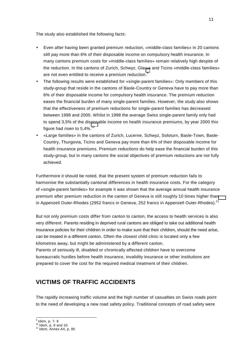<span id="page-10-0"></span>The study also established the following facts:

- Even after having been granted premium reduction, «middle-class families» in 20 cantons still pay more than 6% of their disposable income on compulsory health insurance. In many cantons premium costs for «middle-class families» remain relatively high despite of the reduction. In the cantons of Zurich, Schwyz, Glarus and Ticino «middle-class families» are not even entitled to receive a premium reduction.<sup>9</sup>
- The following results were established for «single-parent families»: Only members of this study-group that reside in the cantons of Basle-Country or Geneva have to pay more than 6% of their disposable income for compulsory health insurance. The premium reduction eases the financial burden of many single-parent families. However, the study also shows that the effectiveness of premium reductions for single-parent families has decreased between 1998 and 2000. Whilst in 1998 the average Swiss single-parent family only had to spend 3,5% of the disposable income on health insurance premiums, by year 2000 this figure had risen to  $5.4\%$ .<sup>10</sup>
- «Large families» in the cantons of Zurich, Lucerne, Schwyz, Soloturn, Basle-Town, Basle-Country, Thurgovia, Ticino and Geneva pay more than 6% of their disposable income for health insurance premiums. Premium reductions do help ease the financial burden of this study-group, but in many cantons the social objectives of premium reductions are not fully achieved.

Furthermore it should be noted, that the present system of premium reduction fails to harmonise the substantially cantonal differences in health insurance costs. For the category of «single-parent families» for example it was shown that the average annual health insurance premium after premium reduction in the canton of Geneva is still roughly 10 times higher than in Appenzell Outer-Rhodes (2952 francs in Geneva, 252 francs in Appenzell Outer-Rhodes).<sup>11</sup>

But not only premium costs differ from canton to canton, the access to health services is also very different. Parents residing in deprived rural cantons are obliged to take out additional health insurance policies for their children in order to make sure that their children, should the need arise, can be treated in a different canton. Often the closest child clinic is located only a few kilometres away, but might be administered by a different canton. Parents of seriously ill, disabled or chronically affected children have to overcome bureaucratic hurdles before health insurance, invalidity insurance or other institutions are

prepared to cover the cost for the required medical treatment of their children.

# **VICTIMS OF TRAFFIC ACCIDENTS**

The rapidly increasing traffic volume and the high number of casualties on Swiss roads point to the need of developing a new road safety policy. Traditional concepts of road safety were

<sup>&</sup>lt;sup>9</sup> Idem, p. 7- 8

 $10^{10}$  Idem, p. 8 and 10.<br> $11^{11}$  Idem, Annex A4, p. 95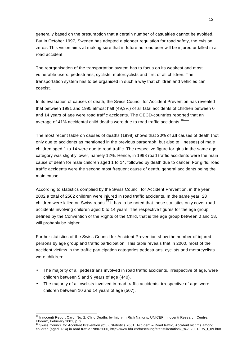generally based on the presumption that a certain number of casualties cannot be avoided. But in October 1997, Sweden has adopted a pioneer regulation for road safety, the «vision zero». This vision aims at making sure that in future no road user will be injured or killed in a road accident.

The reorganisation of the transportation system has to focus on its weakest and most vulnerable users: pedestrians, cyclists, motorcyclists and first of all children. The transportation system has to be organised in such a way that children and vehicles can coexist.

In its evaluation of causes of death, the Swiss Council for Accident Prevention has revealed that between 1991 and 1995 almost half (49,3%) of all fatal accidents of children between 0 and 14 years of age were road traffic accidents. The OECD-countries reported that an average of 41% accidental child deaths were due to road traffic accidents.<sup>12</sup>

The most recent table on causes of deaths (1998) shows that 20% of **all** causes of death (not only due to accidents as mentioned in the previous paragraph, but also to illnesses) of male children aged 1 to 14 were due to road traffic. The respective figure for girls in the same age category was slightly lower, namely 12%. Hence, in 1998 road traffic accidents were the main cause of death for male children aged 1 to 14, followed by death due to cancer. For girls, road traffic accidents were the second most frequent cause of death, general accidents being the main cause.

According to statistics complied by the Swiss Council for Accident Prevention, in the year 2002 a total of 2562 children were injured in road traffic accidents. In the same year, 28 children were killed on Swiss roads.<sup>13</sup> It has to be noted that these statistics only cover road accidents involving children aged 0 to 14 years. The respective figures for the age group defined by the Convention of the Rights of the Child, that is the age group between 0 and 18, will probably be higher.

Further statistics of the Swiss Council for Accident Prevention show the number of injured persons by age group and traffic participation. This table reveals that in 2000, most of the accident victims in the traffic participation categories pedestrians, cyclists and motorcyclists were children:

- The majority of all pedestrians involved in road traffic accidents, irrespective of age, were children between 5 and 9 years of age (440).
- The majority of all cyclists involved in road traffic accidents, irrespective of age, were children between 10 and 14 years of age (507).

l  $12$  Innocenti Report Card, No. 2, Child Deaths by Injury in Rich Nations, UNICEF Innocenti Research Centre, Florenz, February 2001, p. 9<br><sup>13</sup> Swiss Council for Accident Prevention (bfu), Statistics 2001, Accident – Road traffic, Accident victims among

children (aged 0-14) in road traffic 1980-2000, http://www.bfu.ch/forschung/statistik/statistik\_%202001/usv\_t\_09.htm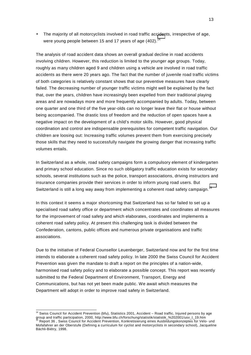• The majority of all motorcyclists involved in road traffic accidents, irrespective of age, were young people between 15 and 17 years of age  $(402)$ .<sup>14</sup>

The analysis of road accident data shows an overall gradual decline in road accidents involving children. However, this reduction is limited to the younger age groups. Today, roughly as many children aged 9 and children using a vehicle are involved in road traffic accidents as there were 20 years ago. The fact that the number of juvenile road traffic victims of both categories is relatively constant shows that our preventive measures have clearly failed. The decreasing number of younger traffic victims might well be explained by the fact that, over the years, children have increasingly been expelled from their traditional playing areas and are nowadays more and more frequently accompanied by adults. Today, between one quarter and one third of the five year-olds can no longer leave their flat or house without being accompanied. The drastic loss of freedom and the reduction of open spaces have a negative impact on the development of a child's motor skills. However, good physical coordination and control are indispensable prerequisites for competent traffic navigation. Our children are loosing out: Increasing traffic volumes prevent them from exercising precisely those skills that they need to successfully navigate the growing danger that increasing traffic volumes entails.

In Switzerland as a whole, road safety campaigns form a compulsory element of kindergarten and primary school education. Since no such obligatory traffic education exists for secondary schools, several institutions such as the police, transport associations, driving instructors and insurance companies provide their services in order to inform young road users. But Switzerland is still a long way away from implementing a coherent road safety campaign.<sup>15</sup>

In this context it seems a major shortcoming that Switzerland has so far failed to set up a specialised road safety office or department which concentrates and coordinates all measures for the improvement of road safety and which elaborates, coordinates and implements a coherent road safety policy. At present this challenging task is divided between the Confederation, cantons, public offices and numerous private organisations and traffic associations.

Due to the initiative of Federal Counsellor Leuenberger, Switzerland now and for the first time intends to elaborate a coherent road safety policy. In late 2000 the Swiss Council for Accident Prevention was given the mandate to draft a report on the principles of a nation-wide, harmonised road safety policy and to elaborate a possible concept. This report was recently submitted to the Federal Department of Environment, Transport, Energy and Communications, but has not yet been made public. We await which measures the Department will adopt in order to improve road safety in Switzerland.

l

<sup>&</sup>lt;sup>14</sup> Swiss Council for Accident Prevention (bfu), Statistics 2001, Accident – Road traffic, Injured persons by age group and traffic participation, 2000, http://www.bfu.ch/forschung/statistik/statistik\_%202001/usv\_t\_19.htm group and traffic participation, 2000, http://www.bfu.ch/forschung/statistik/statistik\_%202001/usv\_t\_19.htm 15 Rep Mofafahrer an der Oberstufe (Defining a curriculum for cyclist and motorcyclists in secondary school), Jacqueline Bächli-Biétry, 1998.